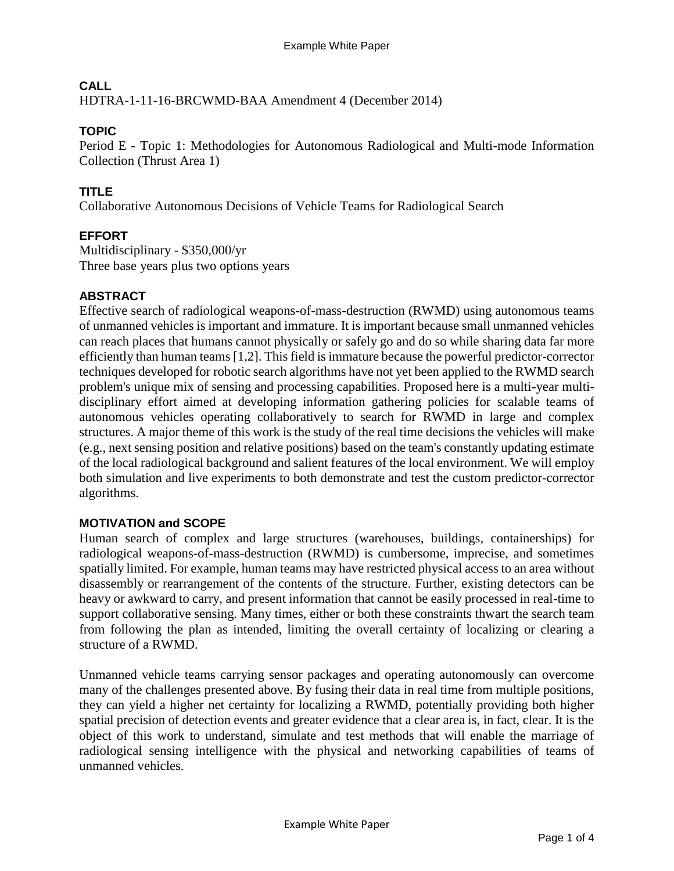# **CALL**

HDTRA-1-11-16-BRCWMD-BAA Amendment 4 (December 2014)

# **TOPIC**

Period E - Topic 1: Methodologies for Autonomous Radiological and Multi-mode Information Collection (Thrust Area 1)

# **TITLE**

Collaborative Autonomous Decisions of Vehicle Teams for Radiological Search

# **EFFORT**

Multidisciplinary - \$350,000/yr Three base years plus two options years

# **ABSTRACT**

Effective search of radiological weapons-of-mass-destruction (RWMD) using autonomous teams of unmanned vehicles is important and immature. It is important because small unmanned vehicles can reach places that humans cannot physically or safely go and do so while sharing data far more efficiently than human teams [1,2]. This field is immature because the powerful predictor-corrector techniques developed for robotic search algorithms have not yet been applied to the RWMD search problem's unique mix of sensing and processing capabilities. Proposed here is a multi-year multidisciplinary effort aimed at developing information gathering policies for scalable teams of autonomous vehicles operating collaboratively to search for RWMD in large and complex structures. A major theme of this work is the study of the real time decisions the vehicles will make (e.g., next sensing position and relative positions) based on the team's constantly updating estimate of the local radiological background and salient features of the local environment. We will employ both simulation and live experiments to both demonstrate and test the custom predictor-corrector algorithms.

# **MOTIVATION and SCOPE**

Human search of complex and large structures (warehouses, buildings, containerships) for radiological weapons-of-mass-destruction (RWMD) is cumbersome, imprecise, and sometimes spatially limited. For example, human teams may have restricted physical access to an area without disassembly or rearrangement of the contents of the structure. Further, existing detectors can be heavy or awkward to carry, and present information that cannot be easily processed in real-time to support collaborative sensing. Many times, either or both these constraints thwart the search team from following the plan as intended, limiting the overall certainty of localizing or clearing a structure of a RWMD.

Unmanned vehicle teams carrying sensor packages and operating autonomously can overcome many of the challenges presented above. By fusing their data in real time from multiple positions, they can yield a higher net certainty for localizing a RWMD, potentially providing both higher spatial precision of detection events and greater evidence that a clear area is, in fact, clear. It is the object of this work to understand, simulate and test methods that will enable the marriage of radiological sensing intelligence with the physical and networking capabilities of teams of unmanned vehicles.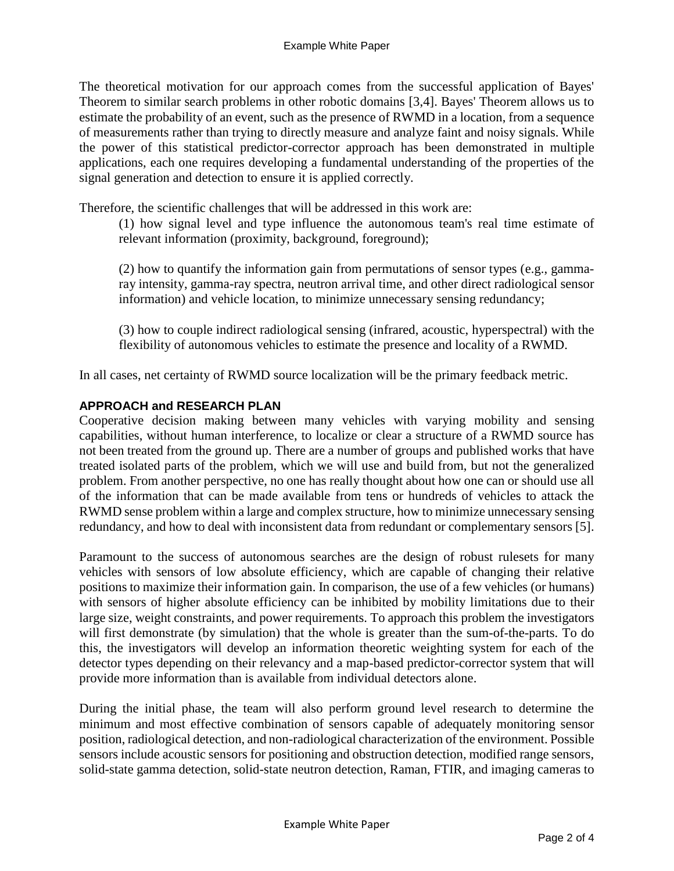The theoretical motivation for our approach comes from the successful application of Bayes' Theorem to similar search problems in other robotic domains [3,4]. Bayes' Theorem allows us to estimate the probability of an event, such as the presence of RWMD in a location, from a sequence of measurements rather than trying to directly measure and analyze faint and noisy signals. While the power of this statistical predictor-corrector approach has been demonstrated in multiple applications, each one requires developing a fundamental understanding of the properties of the signal generation and detection to ensure it is applied correctly.

Therefore, the scientific challenges that will be addressed in this work are:

(1) how signal level and type influence the autonomous team's real time estimate of relevant information (proximity, background, foreground);

(2) how to quantify the information gain from permutations of sensor types (e.g., gammaray intensity, gamma-ray spectra, neutron arrival time, and other direct radiological sensor information) and vehicle location, to minimize unnecessary sensing redundancy;

(3) how to couple indirect radiological sensing (infrared, acoustic, hyperspectral) with the flexibility of autonomous vehicles to estimate the presence and locality of a RWMD.

In all cases, net certainty of RWMD source localization will be the primary feedback metric.

#### **APPROACH and RESEARCH PLAN**

Cooperative decision making between many vehicles with varying mobility and sensing capabilities, without human interference, to localize or clear a structure of a RWMD source has not been treated from the ground up. There are a number of groups and published works that have treated isolated parts of the problem, which we will use and build from, but not the generalized problem. From another perspective, no one has really thought about how one can or should use all of the information that can be made available from tens or hundreds of vehicles to attack the RWMD sense problem within a large and complex structure, how to minimize unnecessary sensing redundancy, and how to deal with inconsistent data from redundant or complementary sensors [5].

Paramount to the success of autonomous searches are the design of robust rulesets for many vehicles with sensors of low absolute efficiency, which are capable of changing their relative positions to maximize their information gain. In comparison, the use of a few vehicles (or humans) with sensors of higher absolute efficiency can be inhibited by mobility limitations due to their large size, weight constraints, and power requirements. To approach this problem the investigators will first demonstrate (by simulation) that the whole is greater than the sum-of-the-parts. To do this, the investigators will develop an information theoretic weighting system for each of the detector types depending on their relevancy and a map-based predictor-corrector system that will provide more information than is available from individual detectors alone.

During the initial phase, the team will also perform ground level research to determine the minimum and most effective combination of sensors capable of adequately monitoring sensor position, radiological detection, and non-radiological characterization of the environment. Possible sensors include acoustic sensors for positioning and obstruction detection, modified range sensors, solid-state gamma detection, solid-state neutron detection, Raman, FTIR, and imaging cameras to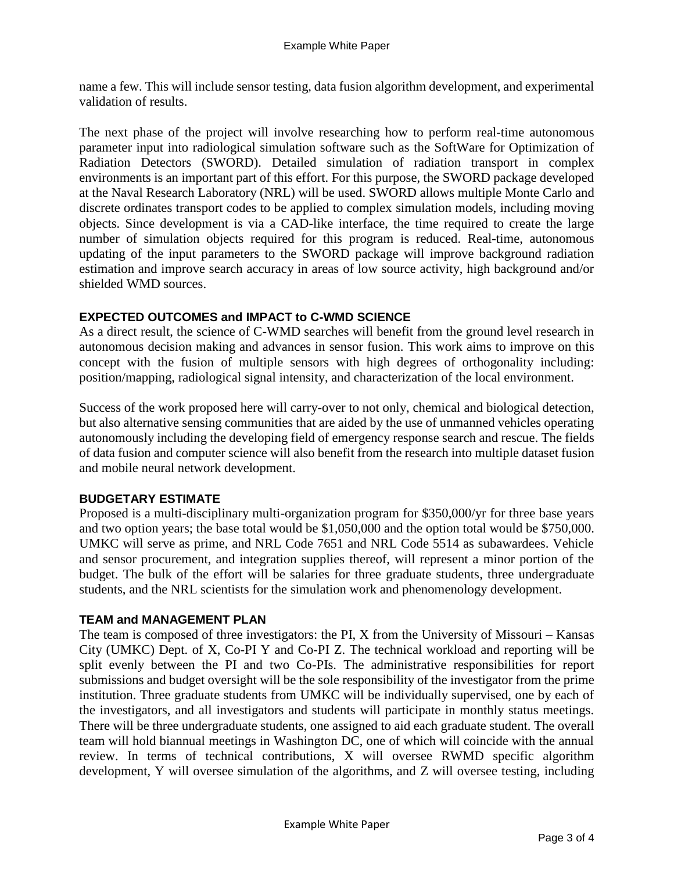name a few. This will include sensor testing, data fusion algorithm development, and experimental validation of results.

The next phase of the project will involve researching how to perform real-time autonomous parameter input into radiological simulation software such as the SoftWare for Optimization of Radiation Detectors (SWORD). Detailed simulation of radiation transport in complex environments is an important part of this effort. For this purpose, the SWORD package developed at the Naval Research Laboratory (NRL) will be used. SWORD allows multiple Monte Carlo and discrete ordinates transport codes to be applied to complex simulation models, including moving objects. Since development is via a CAD-like interface, the time required to create the large number of simulation objects required for this program is reduced. Real-time, autonomous updating of the input parameters to the SWORD package will improve background radiation estimation and improve search accuracy in areas of low source activity, high background and/or shielded WMD sources.

## **EXPECTED OUTCOMES and IMPACT to C-WMD SCIENCE**

As a direct result, the science of C-WMD searches will benefit from the ground level research in autonomous decision making and advances in sensor fusion. This work aims to improve on this concept with the fusion of multiple sensors with high degrees of orthogonality including: position/mapping, radiological signal intensity, and characterization of the local environment.

Success of the work proposed here will carry-over to not only, chemical and biological detection, but also alternative sensing communities that are aided by the use of unmanned vehicles operating autonomously including the developing field of emergency response search and rescue. The fields of data fusion and computer science will also benefit from the research into multiple dataset fusion and mobile neural network development.

## **BUDGETARY ESTIMATE**

Proposed is a multi-disciplinary multi-organization program for \$350,000/yr for three base years and two option years; the base total would be \$1,050,000 and the option total would be \$750,000. UMKC will serve as prime, and NRL Code 7651 and NRL Code 5514 as subawardees. Vehicle and sensor procurement, and integration supplies thereof, will represent a minor portion of the budget. The bulk of the effort will be salaries for three graduate students, three undergraduate students, and the NRL scientists for the simulation work and phenomenology development.

## **TEAM and MANAGEMENT PLAN**

The team is composed of three investigators: the PI, X from the University of Missouri – Kansas City (UMKC) Dept. of X, Co-PI Y and Co-PI Z. The technical workload and reporting will be split evenly between the PI and two Co-PIs. The administrative responsibilities for report submissions and budget oversight will be the sole responsibility of the investigator from the prime institution. Three graduate students from UMKC will be individually supervised, one by each of the investigators, and all investigators and students will participate in monthly status meetings. There will be three undergraduate students, one assigned to aid each graduate student. The overall team will hold biannual meetings in Washington DC, one of which will coincide with the annual review. In terms of technical contributions, X will oversee RWMD specific algorithm development, Y will oversee simulation of the algorithms, and Z will oversee testing, including